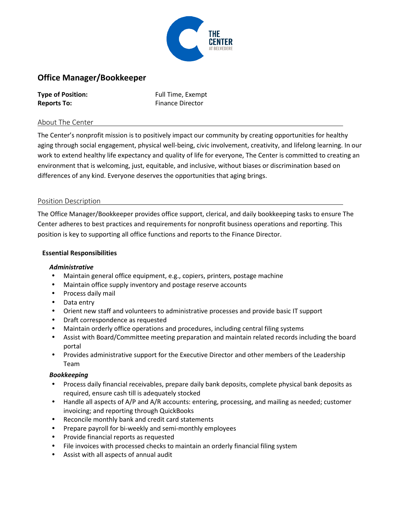

# **Office Manager/Bookkeeper**

| <b>Type of Position:</b> |  |
|--------------------------|--|
| <b>Reports To:</b>       |  |

**Type of Position:** Full Time, Exempt **Finance Director** 

# About The Center

The Center's nonprofit mission is to positively impact our community by creating opportunities for healthy aging through social engagement, physical well-being, civic involvement, creativity, and lifelong learning. In our work to extend healthy life expectancy and quality of life for everyone, The Center is committed to creating an environment that is welcoming, just, equitable, and inclusive, without biases or discrimination based on differences of any kind. Everyone deserves the opportunities that aging brings.

## Position Description

The Office Manager/Bookkeeper provides office support, clerical, and daily bookkeeping tasks to ensure The Center adheres to best practices and requirements for nonprofit business operations and reporting. This position is key to supporting all office functions and reports to the Finance Director.

## **Essential Responsibilities**

## *Administrative*

- Maintain general office equipment, e.g., copiers, printers, postage machine
- Maintain office supply inventory and postage reserve accounts
- Process daily mail
- Data entry
- Orient new staff and volunteers to administrative processes and provide basic IT support
- Draft correspondence as requested
- Maintain orderly office operations and procedures, including central filing systems
- Assist with Board/Committee meeting preparation and maintain related records including the board portal
- Provides administrative support for the Executive Director and other members of the Leadership Team

## *Bookkeeping*

- Process daily financial receivables, prepare daily bank deposits, complete physical bank deposits as required, ensure cash till is adequately stocked
- Handle all aspects of A/P and A/R accounts: entering, processing, and mailing as needed; customer invoicing; and reporting through QuickBooks
- Reconcile monthly bank and credit card statements
- Prepare payroll for bi-weekly and semi-monthly employees
- Provide financial reports as requested
- File invoices with processed checks to maintain an orderly financial filing system
- Assist with all aspects of annual audit